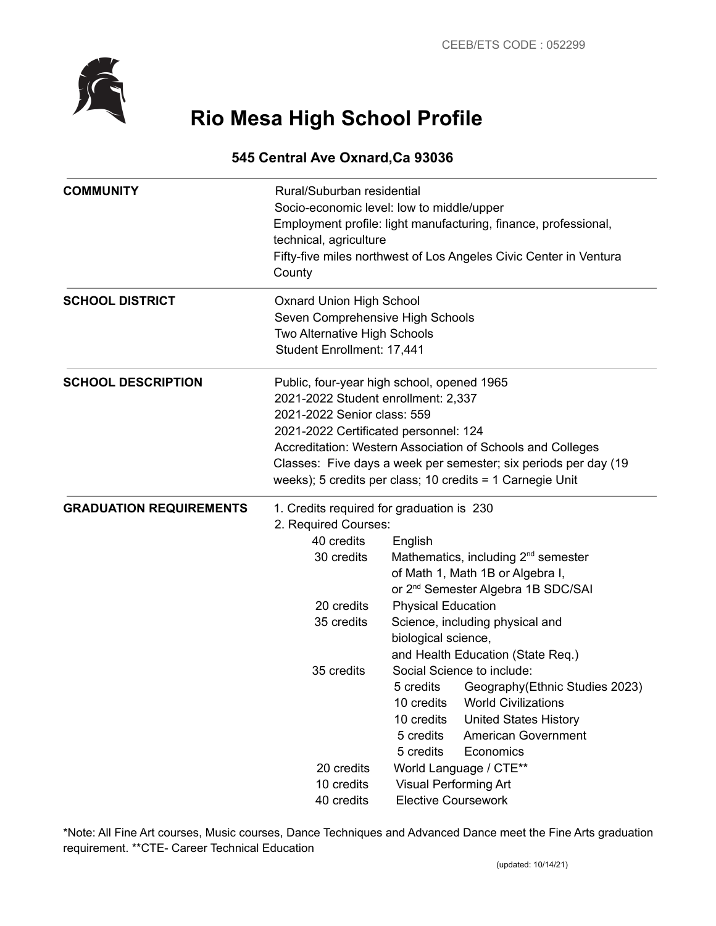

# **Rio Mesa High School Profile**

# **545 Central Ave Oxnard,Ca 93036**

| <b>COMMUNITY</b>               | Rural/Suburban residential<br>Socio-economic level: low to middle/upper<br>Employment profile: light manufacturing, finance, professional,<br>technical, agriculture<br>Fifty-five miles northwest of Los Angeles Civic Center in Ventura<br>County                                                                                                      |                                                                                                                                                                                                                                  |  |
|--------------------------------|----------------------------------------------------------------------------------------------------------------------------------------------------------------------------------------------------------------------------------------------------------------------------------------------------------------------------------------------------------|----------------------------------------------------------------------------------------------------------------------------------------------------------------------------------------------------------------------------------|--|
| <b>SCHOOL DISTRICT</b>         | <b>Oxnard Union High School</b><br>Seven Comprehensive High Schools<br>Two Alternative High Schools<br>Student Enrollment: 17,441                                                                                                                                                                                                                        |                                                                                                                                                                                                                                  |  |
| <b>SCHOOL DESCRIPTION</b>      | Public, four-year high school, opened 1965<br>2021-2022 Student enrollment: 2,337<br>2021-2022 Senior class: 559<br>2021-2022 Certificated personnel: 124<br>Accreditation: Western Association of Schools and Colleges<br>Classes: Five days a week per semester; six periods per day (19)<br>weeks); 5 credits per class; 10 credits = 1 Carnegie Unit |                                                                                                                                                                                                                                  |  |
| <b>GRADUATION REQUIREMENTS</b> | 1. Credits required for graduation is 230                                                                                                                                                                                                                                                                                                                |                                                                                                                                                                                                                                  |  |
|                                | 2. Required Courses:<br>40 credits                                                                                                                                                                                                                                                                                                                       |                                                                                                                                                                                                                                  |  |
|                                | 30 credits                                                                                                                                                                                                                                                                                                                                               | English<br>Mathematics, including 2 <sup>nd</sup> semester                                                                                                                                                                       |  |
|                                |                                                                                                                                                                                                                                                                                                                                                          | of Math 1, Math 1B or Algebra I,                                                                                                                                                                                                 |  |
|                                |                                                                                                                                                                                                                                                                                                                                                          | or 2 <sup>nd</sup> Semester Algebra 1B SDC/SAI                                                                                                                                                                                   |  |
|                                | 20 credits                                                                                                                                                                                                                                                                                                                                               | <b>Physical Education</b>                                                                                                                                                                                                        |  |
|                                | 35 credits                                                                                                                                                                                                                                                                                                                                               | Science, including physical and                                                                                                                                                                                                  |  |
|                                |                                                                                                                                                                                                                                                                                                                                                          | biological science,                                                                                                                                                                                                              |  |
|                                |                                                                                                                                                                                                                                                                                                                                                          | and Health Education (State Req.)                                                                                                                                                                                                |  |
|                                | 35 credits                                                                                                                                                                                                                                                                                                                                               | Social Science to include:<br>5 credits<br>Geography (Ethnic Studies 2023)<br>10 credits  World Civilizations<br><b>United States History</b><br>10 credits<br>5 credits<br><b>American Government</b><br>5 credits<br>Economics |  |
|                                | 20 credits                                                                                                                                                                                                                                                                                                                                               | World Language / CTE**                                                                                                                                                                                                           |  |
|                                | 10 credits                                                                                                                                                                                                                                                                                                                                               | Visual Performing Art                                                                                                                                                                                                            |  |
|                                | 40 credits                                                                                                                                                                                                                                                                                                                                               | <b>Elective Coursework</b>                                                                                                                                                                                                       |  |

\*Note: All Fine Art courses, Music courses, Dance Techniques and Advanced Dance meet the Fine Arts graduation requirement. \*\*CTE- Career Technical Education